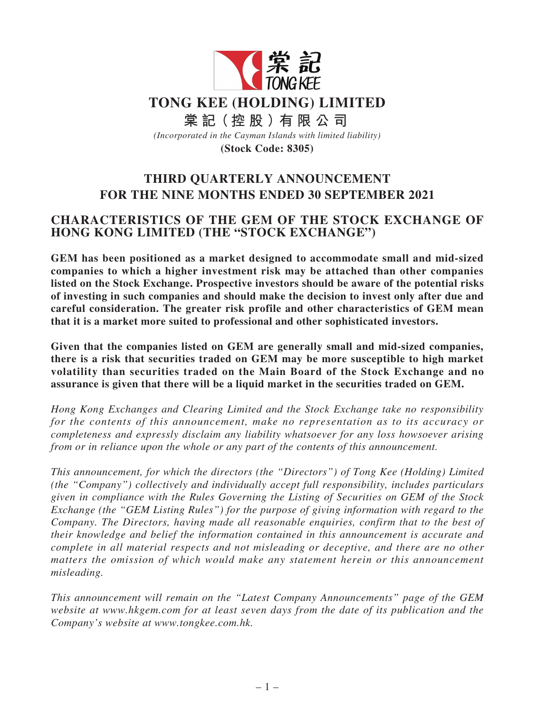

# **THIRD QUARTERLY ANNOUNCEMENT FOR THE NINE MONTHS ENDED 30 SEPTEMBER 2021**

# **CHARACTERISTICS OF THE GEM OF THE STOCK EXCHANGE OF HONG KONG LIMITED (THE "STOCK EXCHANGE")**

**GEM has been positioned as a market designed to accommodate small and mid-sized companies to which a higher investment risk may be attached than other companies listed on the Stock Exchange. Prospective investors should be aware of the potential risks of investing in such companies and should make the decision to invest only after due and careful consideration. The greater risk profile and other characteristics of GEM mean that it is a market more suited to professional and other sophisticated investors.**

**Given that the companies listed on GEM are generally small and mid-sized companies, there is a risk that securities traded on GEM may be more susceptible to high market volatility than securities traded on the Main Board of the Stock Exchange and no assurance is given that there will be a liquid market in the securities traded on GEM.**

*Hong Kong Exchanges and Clearing Limited and the Stock Exchange take no responsibility for the contents of this announcement, make no representation as to its accuracy or completeness and expressly disclaim any liability whatsoever for any loss howsoever arising from or in reliance upon the whole or any part of the contents of this announcement.*

*This announcement, for which the directors (the "Directors") of Tong Kee (Holding) Limited (the "Company") collectively and individually accept full responsibility, includes particulars given in compliance with the Rules Governing the Listing of Securities on GEM of the Stock Exchange (the "GEM Listing Rules") for the purpose of giving information with regard to the Company. The Directors, having made all reasonable enquiries, confirm that to the best of their knowledge and belief the information contained in this announcement is accurate and complete in all material respects and not misleading or deceptive, and there are no other matters the omission of which would make any statement herein or this announcement misleading.*

*This announcement will remain on the "Latest Company Announcements" page of the GEM website at www.hkgem.com for at least seven days from the date of its publication and the Company's website at www.tongkee.com.hk.*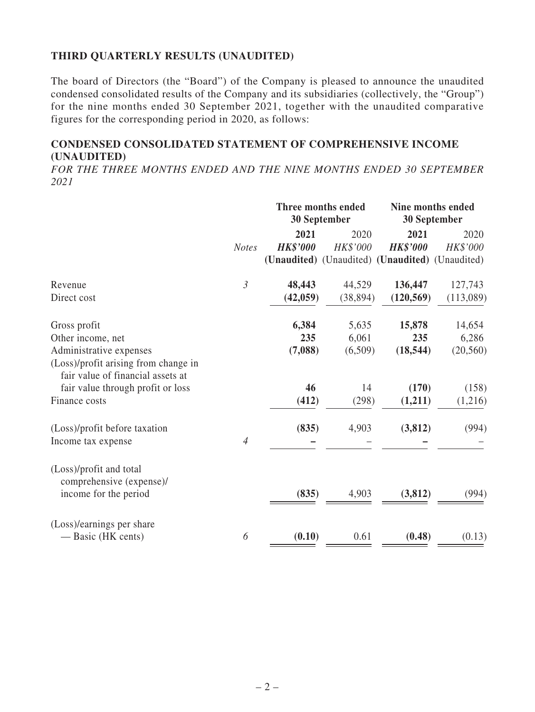# **THIRD QUARTERLY RESULTS (UNAUDITED)**

The board of Directors (the "Board") of the Company is pleased to announce the unaudited condensed consolidated results of the Company and its subsidiaries (collectively, the "Group") for the nine months ended 30 September 2021, together with the unaudited comparative figures for the corresponding period in 2020, as follows:

# **CONDENSED CONSOLIDATED STATEMENT OF COMPREHENSIVE INCOME (UNAUDITED)**

*FOR THE THREE MONTHS ENDED AND THE NINE MONTHS ENDED 30 SEPTEMBER 2021*

|                                                                           |                | Three months ended<br>30 September |                  | Nine months ended<br><b>30 September</b>        |                  |
|---------------------------------------------------------------------------|----------------|------------------------------------|------------------|-------------------------------------------------|------------------|
|                                                                           | <b>Notes</b>   | 2021<br><b>HK\$'000</b>            | 2020<br>HK\$'000 | 2021<br><b>HK\$'000</b>                         | 2020<br>HK\$'000 |
|                                                                           |                |                                    |                  | (Unaudited) (Unaudited) (Unaudited) (Unaudited) |                  |
| Revenue                                                                   | $\mathfrak{Z}$ | 48,443                             | 44,529           | 136,447                                         | 127,743          |
| Direct cost                                                               |                | (42, 059)                          | (38, 894)        | (120, 569)                                      | (113,089)        |
| Gross profit                                                              |                | 6,384                              | 5,635            | 15,878                                          | 14,654           |
| Other income, net                                                         |                | 235                                | 6,061            | 235                                             | 6,286            |
| Administrative expenses                                                   |                | (7,088)                            | (6,509)          | (18, 544)                                       | (20, 560)        |
| (Loss)/profit arising from change in<br>fair value of financial assets at |                |                                    |                  |                                                 |                  |
| fair value through profit or loss                                         |                | 46                                 | 14               | (170)                                           | (158)            |
| Finance costs                                                             |                | (412)                              | (298)            | (1,211)                                         | (1,216)          |
| (Loss)/profit before taxation                                             |                | (835)                              | 4,903            | (3, 812)                                        | (994)            |
| Income tax expense                                                        | $\overline{4}$ |                                    |                  |                                                 |                  |
| (Loss)/profit and total<br>comprehensive (expense)/                       |                |                                    |                  |                                                 |                  |
| income for the period                                                     |                | (835)                              | 4,903            | (3, 812)                                        | (994)            |
| (Loss)/earnings per share                                                 |                |                                    |                  |                                                 |                  |
| — Basic (HK cents)                                                        | 6              | (0.10)                             | 0.61             | (0.48)                                          | (0.13)           |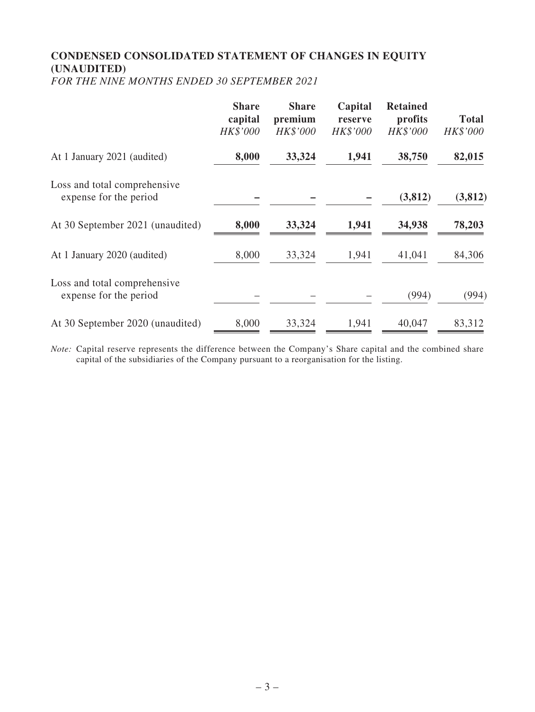# **CONDENSED CONSOLIDATED STATEMENT OF CHANGES IN EQUITY (UNAUDITED)**

*FOR THE NINE MONTHS ENDED 30 SEPTEMBER 2021*

|                                                        | <b>Share</b><br>capital<br>HK\$'000 | <b>Share</b><br>premium<br>HK\$'000 | Capital<br>reserve<br>HK\$'000 | <b>Retained</b><br>profits<br>HK\$'000 | <b>Total</b><br>HK\$'000 |
|--------------------------------------------------------|-------------------------------------|-------------------------------------|--------------------------------|----------------------------------------|--------------------------|
| At 1 January 2021 (audited)                            | 8,000                               | 33,324                              | 1,941                          | 38,750                                 | 82,015                   |
| Loss and total comprehensive<br>expense for the period |                                     |                                     |                                | (3,812)                                | (3, 812)                 |
| At 30 September 2021 (unaudited)                       | 8,000                               | 33,324                              | 1,941                          | 34,938                                 | 78,203                   |
| At 1 January 2020 (audited)                            | 8,000                               | 33,324                              | 1,941                          | 41,041                                 | 84,306                   |
| Loss and total comprehensive<br>expense for the period |                                     |                                     |                                | (994)                                  | (994)                    |
| At 30 September 2020 (unaudited)                       | 8,000                               | 33,324                              | 1,941                          | 40,047                                 | 83,312                   |

*Note:* Capital reserve represents the difference between the Company's Share capital and the combined share capital of the subsidiaries of the Company pursuant to a reorganisation for the listing.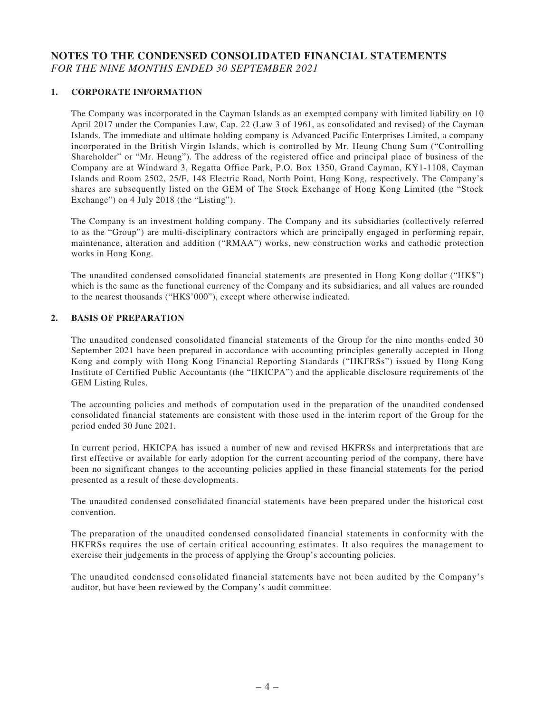### **NOTES TO THE CONDENSED CONSOLIDATED FINANCIAL STATEMENTS** *FOR THE NINE MONTHS ENDED 30 SEPTEMBER 2021*

#### **1. CORPORATE INFORMATION**

The Company was incorporated in the Cayman Islands as an exempted company with limited liability on 10 April 2017 under the Companies Law, Cap. 22 (Law 3 of 1961, as consolidated and revised) of the Cayman Islands. The immediate and ultimate holding company is Advanced Pacific Enterprises Limited, a company incorporated in the British Virgin Islands, which is controlled by Mr. Heung Chung Sum ("Controlling Shareholder" or "Mr. Heung"). The address of the registered office and principal place of business of the Company are at Windward 3, Regatta Office Park, P.O. Box 1350, Grand Cayman, KY1-1108, Cayman Islands and Room 2502, 25/F, 148 Electric Road, North Point, Hong Kong, respectively. The Company's shares are subsequently listed on the GEM of The Stock Exchange of Hong Kong Limited (the "Stock Exchange") on 4 July 2018 (the "Listing").

The Company is an investment holding company. The Company and its subsidiaries (collectively referred to as the "Group") are multi-disciplinary contractors which are principally engaged in performing repair, maintenance, alteration and addition ("RMAA") works, new construction works and cathodic protection works in Hong Kong.

The unaudited condensed consolidated financial statements are presented in Hong Kong dollar ("HK\$") which is the same as the functional currency of the Company and its subsidiaries, and all values are rounded to the nearest thousands ("HK\$'000"), except where otherwise indicated.

#### **2. BASIS OF PREPARATION**

The unaudited condensed consolidated financial statements of the Group for the nine months ended 30 September 2021 have been prepared in accordance with accounting principles generally accepted in Hong Kong and comply with Hong Kong Financial Reporting Standards ("HKFRSs") issued by Hong Kong Institute of Certified Public Accountants (the "HKICPA") and the applicable disclosure requirements of the GEM Listing Rules.

The accounting policies and methods of computation used in the preparation of the unaudited condensed consolidated financial statements are consistent with those used in the interim report of the Group for the period ended 30 June 2021.

In current period, HKICPA has issued a number of new and revised HKFRSs and interpretations that are first effective or available for early adoption for the current accounting period of the company, there have been no significant changes to the accounting policies applied in these financial statements for the period presented as a result of these developments.

The unaudited condensed consolidated financial statements have been prepared under the historical cost convention.

The preparation of the unaudited condensed consolidated financial statements in conformity with the HKFRSs requires the use of certain critical accounting estimates. It also requires the management to exercise their judgements in the process of applying the Group's accounting policies.

The unaudited condensed consolidated financial statements have not been audited by the Company's auditor, but have been reviewed by the Company's audit committee.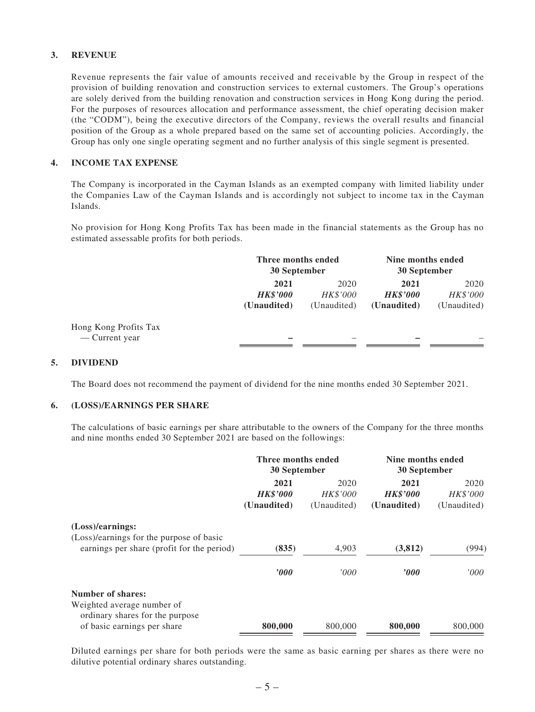#### **3. REVENUE**

Revenue represents the fair value of amounts received and receivable by the Group in respect of the provision of building renovation and construction services to external customers. The Group's operations are solely derived from the building renovation and construction services in Hong Kong during the period. For the purposes of resources allocation and performance assessment, the chief operating decision maker (the "CODM"), being the executive directors of the Company, reviews the overall results and financial position of the Group as a whole prepared based on the same set of accounting policies. Accordingly, the Group has only one single operating segment and no further analysis of this single segment is presented.

#### **4. INCOME TAX EXPENSE**

The Company is incorporated in the Cayman Islands as an exempted company with limited liability under the Companies Law of the Cayman Islands and is accordingly not subject to income tax in the Cayman Islands.

No provision for Hong Kong Profits Tax has been made in the financial statements as the Group has no estimated assessable profits for both periods.

|                                         | Three months ended<br>30 September     |                                        | Nine months ended<br>30 September      |                                 |
|-----------------------------------------|----------------------------------------|----------------------------------------|----------------------------------------|---------------------------------|
|                                         | 2021<br><b>HK\$'000</b><br>(Unaudited) | 2020<br><b>HK\$'000</b><br>(Unaudited) | 2021<br><b>HK\$'000</b><br>(Unaudited) | 2020<br>HK\$'000<br>(Unaudited) |
| Hong Kong Profits Tax<br>— Current year |                                        |                                        |                                        |                                 |

#### **5. DIVIDEND**

The Board does not recommend the payment of dividend for the nine months ended 30 September 2021.

#### **6. (LOSS)/EARNINGS PER SHARE**

The calculations of basic earnings per share attributable to the owners of the Company for the three months and nine months ended 30 September 2021 are based on the followings:

|                                                                                        | Three months ended<br>30 September |                 | Nine months ended<br>30 September |                 |
|----------------------------------------------------------------------------------------|------------------------------------|-----------------|-----------------------------------|-----------------|
|                                                                                        | 2021<br>2020                       |                 | 2021                              | 2020            |
|                                                                                        | <b>HK\$'000</b>                    | <b>HK\$'000</b> | <b>HK\$'000</b>                   | <b>HK\$'000</b> |
|                                                                                        | (Unaudited)                        | (Unaudited)     | (Unaudited)                       | (Unaudited)     |
| (Loss)/earnings:                                                                       |                                    |                 |                                   |                 |
| (Loss)/earnings for the purpose of basic<br>earnings per share (profit for the period) | (835)                              | 4,903           | (3, 812)                          | (994)           |
|                                                                                        |                                    |                 |                                   |                 |
|                                                                                        | $\bm{v}$                           | '000            | $\bm{v}$                          | '000'           |
| Number of shares:                                                                      |                                    |                 |                                   |                 |
| Weighted average number of<br>ordinary shares for the purpose                          |                                    |                 |                                   |                 |
| of basic earnings per share                                                            | 800,000                            | 800,000         | 800,000                           | 800,000         |

Diluted earnings per share for both periods were the same as basic earning per shares as there were no dilutive potential ordinary shares outstanding.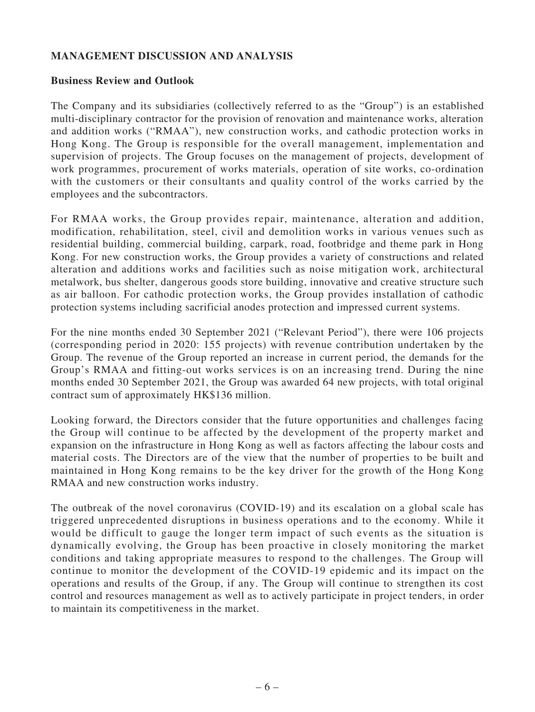# **MANAGEMENT DISCUSSION AND ANALYSIS**

### **Business Review and Outlook**

The Company and its subsidiaries (collectively referred to as the "Group") is an established multi-disciplinary contractor for the provision of renovation and maintenance works, alteration and addition works ("RMAA"), new construction works, and cathodic protection works in Hong Kong. The Group is responsible for the overall management, implementation and supervision of projects. The Group focuses on the management of projects, development of work programmes, procurement of works materials, operation of site works, co-ordination with the customers or their consultants and quality control of the works carried by the employees and the subcontractors.

For RMAA works, the Group provides repair, maintenance, alteration and addition, modification, rehabilitation, steel, civil and demolition works in various venues such as residential building, commercial building, carpark, road, footbridge and theme park in Hong Kong. For new construction works, the Group provides a variety of constructions and related alteration and additions works and facilities such as noise mitigation work, architectural metalwork, bus shelter, dangerous goods store building, innovative and creative structure such as air balloon. For cathodic protection works, the Group provides installation of cathodic protection systems including sacrificial anodes protection and impressed current systems.

For the nine months ended 30 September 2021 ("Relevant Period"), there were 106 projects (corresponding period in 2020: 155 projects) with revenue contribution undertaken by the Group. The revenue of the Group reported an increase in current period, the demands for the Group's RMAA and fitting-out works services is on an increasing trend. During the nine months ended 30 September 2021, the Group was awarded 64 new projects, with total original contract sum of approximately HK\$136 million.

Looking forward, the Directors consider that the future opportunities and challenges facing the Group will continue to be affected by the development of the property market and expansion on the infrastructure in Hong Kong as well as factors affecting the labour costs and material costs. The Directors are of the view that the number of properties to be built and maintained in Hong Kong remains to be the key driver for the growth of the Hong Kong RMAA and new construction works industry.

The outbreak of the novel coronavirus (COVID-19) and its escalation on a global scale has triggered unprecedented disruptions in business operations and to the economy. While it would be difficult to gauge the longer term impact of such events as the situation is dynamically evolving, the Group has been proactive in closely monitoring the market conditions and taking appropriate measures to respond to the challenges. The Group will continue to monitor the development of the COVID-19 epidemic and its impact on the operations and results of the Group, if any. The Group will continue to strengthen its cost control and resources management as well as to actively participate in project tenders, in order to maintain its competitiveness in the market.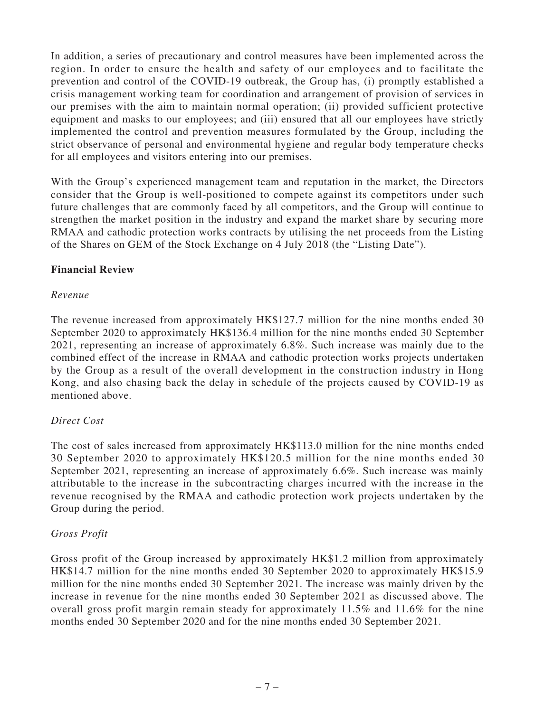In addition, a series of precautionary and control measures have been implemented across the region. In order to ensure the health and safety of our employees and to facilitate the prevention and control of the COVID-19 outbreak, the Group has, (i) promptly established a crisis management working team for coordination and arrangement of provision of services in our premises with the aim to maintain normal operation; (ii) provided sufficient protective equipment and masks to our employees; and (iii) ensured that all our employees have strictly implemented the control and prevention measures formulated by the Group, including the strict observance of personal and environmental hygiene and regular body temperature checks for all employees and visitors entering into our premises.

With the Group's experienced management team and reputation in the market, the Directors consider that the Group is well-positioned to compete against its competitors under such future challenges that are commonly faced by all competitors, and the Group will continue to strengthen the market position in the industry and expand the market share by securing more RMAA and cathodic protection works contracts by utilising the net proceeds from the Listing of the Shares on GEM of the Stock Exchange on 4 July 2018 (the "Listing Date").

# **Financial Review**

### *Revenue*

The revenue increased from approximately HK\$127.7 million for the nine months ended 30 September 2020 to approximately HK\$136.4 million for the nine months ended 30 September 2021, representing an increase of approximately 6.8%. Such increase was mainly due to the combined effect of the increase in RMAA and cathodic protection works projects undertaken by the Group as a result of the overall development in the construction industry in Hong Kong, and also chasing back the delay in schedule of the projects caused by COVID-19 as mentioned above.

# *Direct Cost*

The cost of sales increased from approximately HK\$113.0 million for the nine months ended 30 September 2020 to approximately HK\$120.5 million for the nine months ended 30 September 2021, representing an increase of approximately 6.6%. Such increase was mainly attributable to the increase in the subcontracting charges incurred with the increase in the revenue recognised by the RMAA and cathodic protection work projects undertaken by the Group during the period.

#### *Gross Profit*

Gross profit of the Group increased by approximately HK\$1.2 million from approximately HK\$14.7 million for the nine months ended 30 September 2020 to approximately HK\$15.9 million for the nine months ended 30 September 2021. The increase was mainly driven by the increase in revenue for the nine months ended 30 September 2021 as discussed above. The overall gross profit margin remain steady for approximately 11.5% and 11.6% for the nine months ended 30 September 2020 and for the nine months ended 30 September 2021.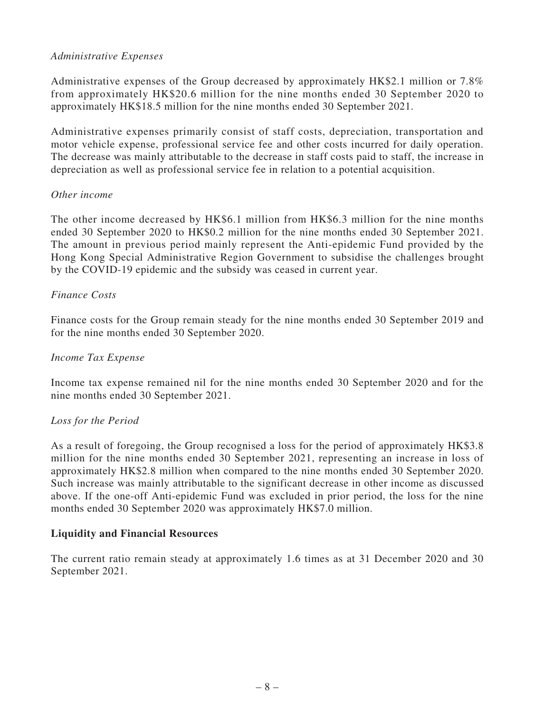# *Administrative Expenses*

Administrative expenses of the Group decreased by approximately HK\$2.1 million or 7.8% from approximately HK\$20.6 million for the nine months ended 30 September 2020 to approximately HK\$18.5 million for the nine months ended 30 September 2021.

Administrative expenses primarily consist of staff costs, depreciation, transportation and motor vehicle expense, professional service fee and other costs incurred for daily operation. The decrease was mainly attributable to the decrease in staff costs paid to staff, the increase in depreciation as well as professional service fee in relation to a potential acquisition.

### *Other income*

The other income decreased by HK\$6.1 million from HK\$6.3 million for the nine months ended 30 September 2020 to HK\$0.2 million for the nine months ended 30 September 2021. The amount in previous period mainly represent the Anti-epidemic Fund provided by the Hong Kong Special Administrative Region Government to subsidise the challenges brought by the COVID-19 epidemic and the subsidy was ceased in current year.

### *Finance Costs*

Finance costs for the Group remain steady for the nine months ended 30 September 2019 and for the nine months ended 30 September 2020.

#### *Income Tax Expense*

Income tax expense remained nil for the nine months ended 30 September 2020 and for the nine months ended 30 September 2021.

#### *Loss for the Period*

As a result of foregoing, the Group recognised a loss for the period of approximately HK\$3.8 million for the nine months ended 30 September 2021, representing an increase in loss of approximately HK\$2.8 million when compared to the nine months ended 30 September 2020. Such increase was mainly attributable to the significant decrease in other income as discussed above. If the one-off Anti-epidemic Fund was excluded in prior period, the loss for the nine months ended 30 September 2020 was approximately HK\$7.0 million.

# **Liquidity and Financial Resources**

The current ratio remain steady at approximately 1.6 times as at 31 December 2020 and 30 September 2021.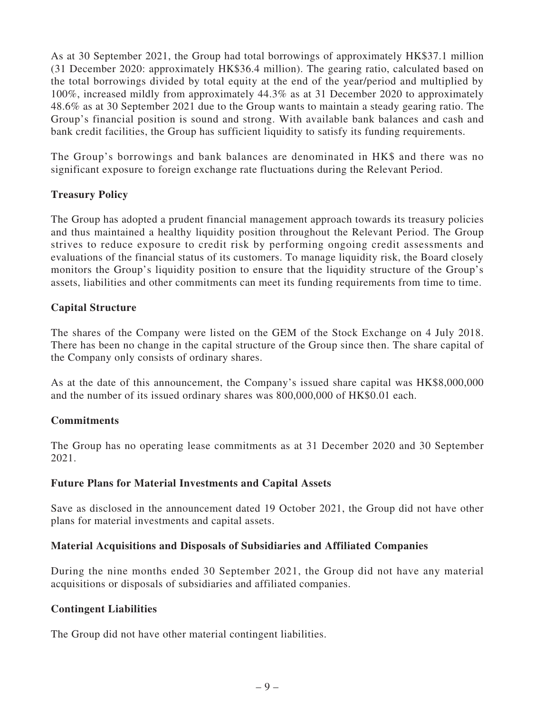As at 30 September 2021, the Group had total borrowings of approximately HK\$37.1 million (31 December 2020: approximately HK\$36.4 million). The gearing ratio, calculated based on the total borrowings divided by total equity at the end of the year/period and multiplied by 100%, increased mildly from approximately 44.3% as at 31 December 2020 to approximately 48.6% as at 30 September 2021 due to the Group wants to maintain a steady gearing ratio. The Group's financial position is sound and strong. With available bank balances and cash and bank credit facilities, the Group has sufficient liquidity to satisfy its funding requirements.

The Group's borrowings and bank balances are denominated in HK\$ and there was no significant exposure to foreign exchange rate fluctuations during the Relevant Period.

# **Treasury Policy**

The Group has adopted a prudent financial management approach towards its treasury policies and thus maintained a healthy liquidity position throughout the Relevant Period. The Group strives to reduce exposure to credit risk by performing ongoing credit assessments and evaluations of the financial status of its customers. To manage liquidity risk, the Board closely monitors the Group's liquidity position to ensure that the liquidity structure of the Group's assets, liabilities and other commitments can meet its funding requirements from time to time.

# **Capital Structure**

The shares of the Company were listed on the GEM of the Stock Exchange on 4 July 2018. There has been no change in the capital structure of the Group since then. The share capital of the Company only consists of ordinary shares.

As at the date of this announcement, the Company's issued share capital was HK\$8,000,000 and the number of its issued ordinary shares was 800,000,000 of HK\$0.01 each.

# **Commitments**

The Group has no operating lease commitments as at 31 December 2020 and 30 September 2021.

# **Future Plans for Material Investments and Capital Assets**

Save as disclosed in the announcement dated 19 October 2021, the Group did not have other plans for material investments and capital assets.

# **Material Acquisitions and Disposals of Subsidiaries and Affiliated Companies**

During the nine months ended 30 September 2021, the Group did not have any material acquisitions or disposals of subsidiaries and affiliated companies.

# **Contingent Liabilities**

The Group did not have other material contingent liabilities.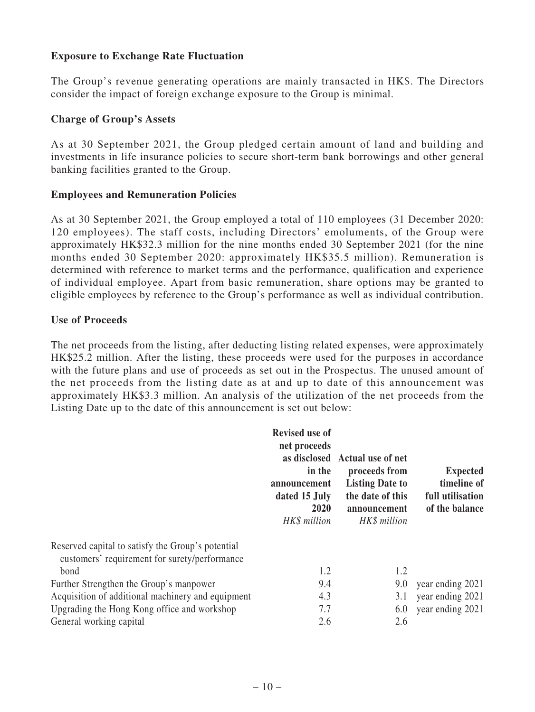# **Exposure to Exchange Rate Fluctuation**

The Group's revenue generating operations are mainly transacted in HK\$. The Directors consider the impact of foreign exchange exposure to the Group is minimal.

### **Charge of Group's Assets**

As at 30 September 2021, the Group pledged certain amount of land and building and investments in life insurance policies to secure short-term bank borrowings and other general banking facilities granted to the Group.

### **Employees and Remuneration Policies**

As at 30 September 2021, the Group employed a total of 110 employees (31 December 2020: 120 employees). The staff costs, including Directors' emoluments, of the Group were approximately HK\$32.3 million for the nine months ended 30 September 2021 (for the nine months ended 30 September 2020: approximately HK\$35.5 million). Remuneration is determined with reference to market terms and the performance, qualification and experience of individual employee. Apart from basic remuneration, share options may be granted to eligible employees by reference to the Group's performance as well as individual contribution.

#### **Use of Proceeds**

The net proceeds from the listing, after deducting listing related expenses, were approximately HK\$25.2 million. After the listing, these proceeds were used for the purposes in accordance with the future plans and use of proceeds as set out in the Prospectus. The unused amount of the net proceeds from the listing date as at and up to date of this announcement was approximately HK\$3.3 million. An analysis of the utilization of the net proceeds from the Listing Date up to the date of this announcement is set out below:

|                                                                                                    | <b>Revised use of</b><br>net proceeds<br>in the<br>announcement<br>dated 15 July<br>2020<br>HK\$ million | as disclosed Actual use of net<br>proceeds from<br><b>Listing Date to</b><br>the date of this<br>announcement<br>HK\$ million | <b>Expected</b><br>timeline of<br>full utilisation<br>of the balance |
|----------------------------------------------------------------------------------------------------|----------------------------------------------------------------------------------------------------------|-------------------------------------------------------------------------------------------------------------------------------|----------------------------------------------------------------------|
| Reserved capital to satisfy the Group's potential<br>customers' requirement for surety/performance |                                                                                                          |                                                                                                                               |                                                                      |
| bond                                                                                               | 1.2                                                                                                      | 1.2                                                                                                                           |                                                                      |
| Further Strengthen the Group's manpower                                                            | 9.4                                                                                                      | 9.0                                                                                                                           | year ending 2021                                                     |
| Acquisition of additional machinery and equipment                                                  | 4.3                                                                                                      | 3.1                                                                                                                           | year ending 2021                                                     |
| Upgrading the Hong Kong office and workshop                                                        | 7.7                                                                                                      | 6.0                                                                                                                           | year ending 2021                                                     |
| General working capital                                                                            | 2.6                                                                                                      | 2.6                                                                                                                           |                                                                      |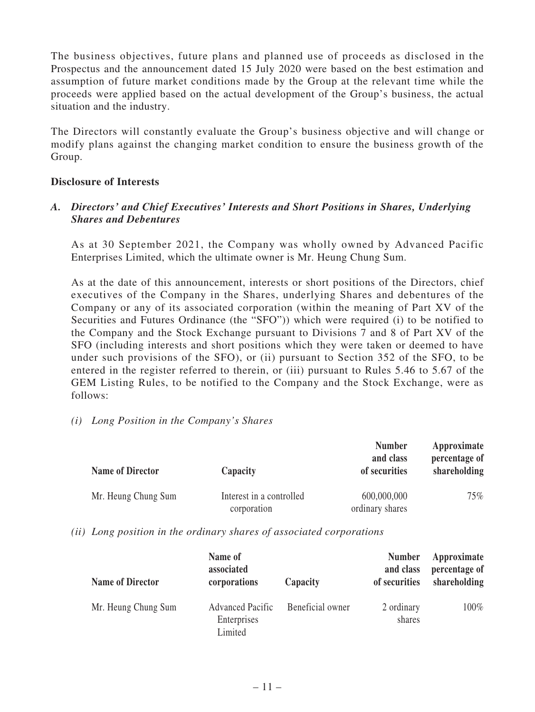The business objectives, future plans and planned use of proceeds as disclosed in the Prospectus and the announcement dated 15 July 2020 were based on the best estimation and assumption of future market conditions made by the Group at the relevant time while the proceeds were applied based on the actual development of the Group's business, the actual situation and the industry.

The Directors will constantly evaluate the Group's business objective and will change or modify plans against the changing market condition to ensure the business growth of the Group.

### **Disclosure of Interests**

# *A. Directors' and Chief Executives' Interests and Short Positions in Shares, Underlying Shares and Debentures*

As at 30 September 2021, the Company was wholly owned by Advanced Pacific Enterprises Limited, which the ultimate owner is Mr. Heung Chung Sum.

As at the date of this announcement, interests or short positions of the Directors, chief executives of the Company in the Shares, underlying Shares and debentures of the Company or any of its associated corporation (within the meaning of Part XV of the Securities and Futures Ordinance (the "SFO")) which were required (i) to be notified to the Company and the Stock Exchange pursuant to Divisions 7 and 8 of Part XV of the SFO (including interests and short positions which they were taken or deemed to have under such provisions of the SFO), or (ii) pursuant to Section 352 of the SFO, to be entered in the register referred to therein, or (iii) pursuant to Rules 5.46 to 5.67 of the GEM Listing Rules, to be notified to the Company and the Stock Exchange, were as follows:

#### *(i) Long Position in the Company's Shares*

| <b>Name of Director</b> | Capacity                                | <b>Number</b><br>and class<br>of securities | Approximate<br>percentage of<br>shareholding |
|-------------------------|-----------------------------------------|---------------------------------------------|----------------------------------------------|
| Mr. Heung Chung Sum     | Interest in a controlled<br>corporation | 600,000,000<br>ordinary shares              | 75%                                          |

*(ii) Long position in the ordinary shares of associated corporations*

| <b>Name of Director</b> | Name of<br>associated<br>corporations             | Capacity         | <b>Number</b><br>and class<br>of securities | Approximate<br>percentage of<br>shareholding |
|-------------------------|---------------------------------------------------|------------------|---------------------------------------------|----------------------------------------------|
| Mr. Heung Chung Sum     | <b>Advanced Pacific</b><br>Enterprises<br>Limited | Beneficial owner | 2 ordinary<br>shares                        | 100%                                         |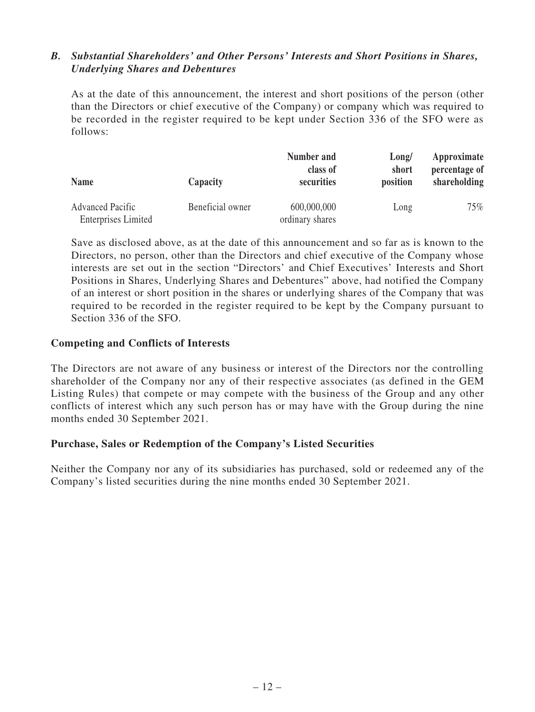# *B. Substantial Shareholders' and Other Persons' Interests and Short Positions in Shares, Underlying Shares and Debentures*

As at the date of this announcement, the interest and short positions of the person (other than the Directors or chief executive of the Company) or company which was required to be recorded in the register required to be kept under Section 336 of the SFO were as follows:

| <b>Name</b>                | Capacity         | Number and<br>class of<br>securities | Long/<br>short<br>position | Approximate<br>percentage of<br>shareholding |
|----------------------------|------------------|--------------------------------------|----------------------------|----------------------------------------------|
| <b>Advanced Pacific</b>    | Beneficial owner | 600,000,000                          | Long                       | $75\%$                                       |
| <b>Enterprises Limited</b> |                  | ordinary shares                      |                            |                                              |

Save as disclosed above, as at the date of this announcement and so far as is known to the Directors, no person, other than the Directors and chief executive of the Company whose interests are set out in the section "Directors' and Chief Executives' Interests and Short Positions in Shares, Underlying Shares and Debentures" above, had notified the Company of an interest or short position in the shares or underlying shares of the Company that was required to be recorded in the register required to be kept by the Company pursuant to Section 336 of the SFO.

### **Competing and Conflicts of Interests**

The Directors are not aware of any business or interest of the Directors nor the controlling shareholder of the Company nor any of their respective associates (as defined in the GEM Listing Rules) that compete or may compete with the business of the Group and any other conflicts of interest which any such person has or may have with the Group during the nine months ended 30 September 2021.

#### **Purchase, Sales or Redemption of the Company's Listed Securities**

Neither the Company nor any of its subsidiaries has purchased, sold or redeemed any of the Company's listed securities during the nine months ended 30 September 2021.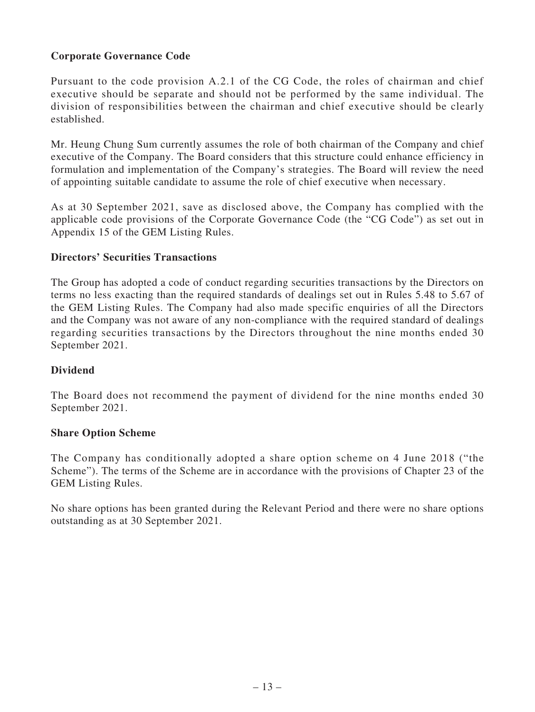# **Corporate Governance Code**

Pursuant to the code provision A.2.1 of the CG Code, the roles of chairman and chief executive should be separate and should not be performed by the same individual. The division of responsibilities between the chairman and chief executive should be clearly established.

Mr. Heung Chung Sum currently assumes the role of both chairman of the Company and chief executive of the Company. The Board considers that this structure could enhance efficiency in formulation and implementation of the Company's strategies. The Board will review the need of appointing suitable candidate to assume the role of chief executive when necessary.

As at 30 September 2021, save as disclosed above, the Company has complied with the applicable code provisions of the Corporate Governance Code (the "CG Code") as set out in Appendix 15 of the GEM Listing Rules.

### **Directors' Securities Transactions**

The Group has adopted a code of conduct regarding securities transactions by the Directors on terms no less exacting than the required standards of dealings set out in Rules 5.48 to 5.67 of the GEM Listing Rules. The Company had also made specific enquiries of all the Directors and the Company was not aware of any non-compliance with the required standard of dealings regarding securities transactions by the Directors throughout the nine months ended 30 September 2021.

# **Dividend**

The Board does not recommend the payment of dividend for the nine months ended 30 September 2021.

#### **Share Option Scheme**

The Company has conditionally adopted a share option scheme on 4 June 2018 ("the Scheme"). The terms of the Scheme are in accordance with the provisions of Chapter 23 of the GEM Listing Rules.

No share options has been granted during the Relevant Period and there were no share options outstanding as at 30 September 2021.